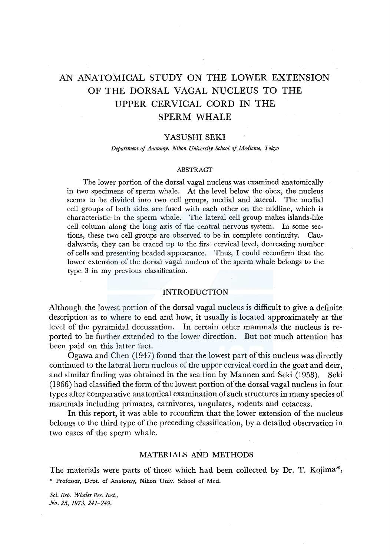# AN ANATOMICAL STUDY ON THE LOWER EXTENSION OF THE DORSAL VAGAL NUCLEUS TO THE UPPER CERVICAL CORD IN THE SPERM WHALE

## YASUSHI SEKI

*Department of Anatomy, Nihon University School of Medicine, Tokyo* 

#### **ABSTRACT**

The lower portion of the dorsal vagal nucleus was examined anatomically in two specimens of sperm whale. At the level below the obex, the nucleus seems to be divided into two cell groups, medial and lateral. The medial cell groups of both sides are fused with each other on the midline, which is characteristic in the sperm whale. The lateral cell group makes islands-like cell column along the long axis of the central nervous system. In some sections, these two cell groups are observed to be in complete continuity. Caudalwards, they can be traced up to the first cervical level, decreasing number of cells and presenting beaded appearance. Thus, I could reconfirm that the lower extension of the dorsal vagal nucleus of the sperm whale belongs to the type 3 in my previous classification.

## INTRODUCTION

Although the lowest portion of the dorsal vagal nucleus is difficult to give a definite description as to where to end and how, it usually is located approximately at the level of the pyramidal decussation. In certain other mammals the nucleus is reported to be further extended to the lower direction. But not much attention has been paid on this latter fact.

Ogawa and Chen (1947) found that the lowest part of this nucleus was directly continued to the lateral horn nucleus of the upper cervical cord in the goat and deer, and similar finding was obtained in the sea lion by Mannen and Seki (1958). Seki (1966) had classified the form of the lowest portion of the dorsal vagal nucleus in four types after 'comparative anatomical examination of such structures in many species of mammals including primates, carnivores, ungulates, rodents and cetaceas.

In this report, it was able to reconfirm that the lower extension of the nucleus belongs to the third type of the preceding classification, by a detailed observation in two cases of the sperm whale.

## MATERIALS AND METHODS

The materials were parts of those which had been collected by Dr. T. Kojima\*, \* Professor, Dept. of Anatomy, Nihon Univ. School of Med.

*Sci. Rep. Whales Res. Inst., No. 25, 1973, 241-249.*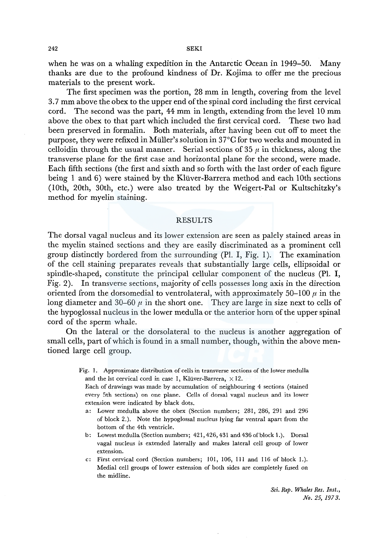when he was on a whaling expedition in the Antarctic Ocean in 1949-50. Many thanks are due to the profound kindness of Dr. Kojima to offer me the precious materials to the present work.

The first specimen was the portion, 28 mm in length, covering from the level 3. 7 mm above the obex to the upper end of the spinal cord including the first cervical cord. The second was the part, 44 mm in length, extending from the level 10 mm above the obex to that part which included the first cervical cord. These two had been preserved in formalin. Both materials, after having been cut off to meet the purpose, they were refixed in Muller's solution in 37°C for two weeks and mounted in celloidin through the usual manner. Serial sections of 35  $\mu$  in thickness, along the transverse plane for the first case and horizontal plane for the second, were made. Each fifth sections (the first and sixth and so forth with the last order of each figure being 1 and 6) were stained by the Kluver-Barrera method and each lOth sections (lOth, 20th, 30th, etc.) were also treated by the Weigert-Pal or Kultschitzky's method for myelin staining.

## RESULTS

The dorsal vagal nucleus and its lower extension are seen as palely stained areas in the myelin stained sections and they are easily discriminated as a prominent cell group distinctly bordered from the surrounding  $(Pl, I, Fig. 1)$ . The examination of the cell staining preparates reveals that substantially large cells, ellipsoidal or spindle-shaped, constitute the principal cellular component of the nucleus (Pl. I, Fig. 2). In transverse sections, majority of cells possesses long axis in the direction oriented from the dorsomedial to ventrolateral, with approximately 50–100  $\mu$  in the long diameter and 30–60  $\mu$  in the short one. They are large in size next to cells of the hypoglossal nucleus in the lower medulla or the anterior horn of the upper spinal cord of the sperm whale.

On the lateral or the dorsolateral to the nucleus is another aggregation of small cells, part of which is found in a small number, though, within the above mentioned large cell group.

> Fig. 1. Approximate distribution of cells in transverse sections of the lower medulla and the lst cervical cord in case 1, Klüver-Barrera,  $\times$  12.

Each of drawings was made by accumulation of neighbouring 4 sections (stained every 5th sections) on one plane. Cells of dorsal vagal nucleus and its lower extension were indicated by black dots.

- a: Lower medulla above the obex (Section numbers; 281, 286, 291 and 296 of block 2.). Note the hypoglossal nucleus lying far ventral apart from the bottom of the 4th ventricle.
- b: Lowest medulla (Section numbers; 421, 426, 431 and 436 of block 1.). Dorsal vagal nucleus is extended laterally and makes lateral cell group of lower extension.
- c: First cervical cord (Section numbers; 101, 106, 111 and 116 of block 1.). Medial cell groups of lower extension of both sides are completely fused on the midline.

*Sci. Rep. Whales Res. Inst., .No. 25, 197 3.*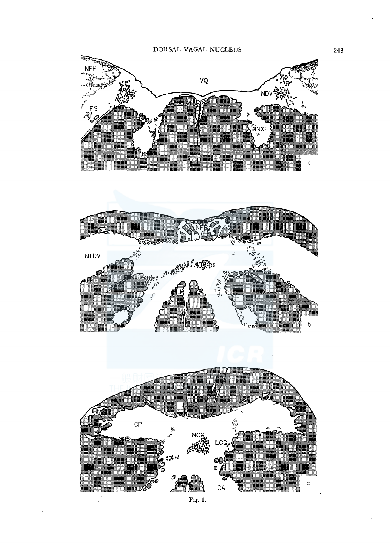$\bar{u}$ 





 $\mathbf{c}$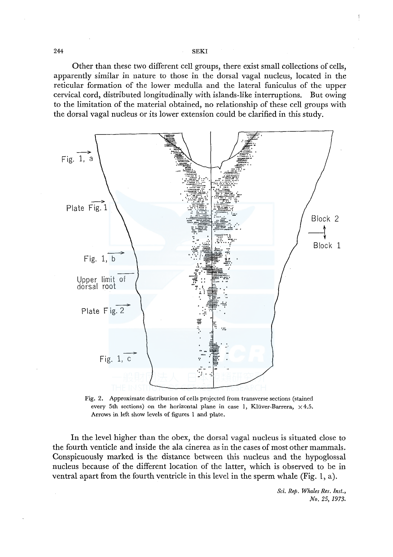244 SEKI

Other than these two different cell groups, there exist small collections of cells, apparently similar in nature to those in the dorsal vagal nucleus, located in the reticular formation of the lower medulla and the lateral funiculus of the upper cervical cord, distributed longitudinally with islands-like interruptions. But owing to the limitation of the material obtained, no relationship of these cell groups with the dorsal vagal nucleus or its lower extension could be clarified in this study.



Fig. 2. Approximate distribution of cells projected from transverse sections (stained every 5th sections) on the horizontal plane in case 1, Klüver-Barrera,  $\times$  4.5. Arrows in left show levels of figures 1 and plate.

In the level higher than the obex, the dorsal vagal nucleus is situated close to the fourth venticle and inside the ala cinerea as in the cases of most other mammals. Conspicuously marked is the distance between this nucleus and the hypoglossal nucleus because of the different location of the latter, which is observed to be in ventral apart from the fourth ventricle in this level in the sperm whale (Fig. 1, a).

> *Sci. Rep. Whales Res. Inst., No. 25, 1973.*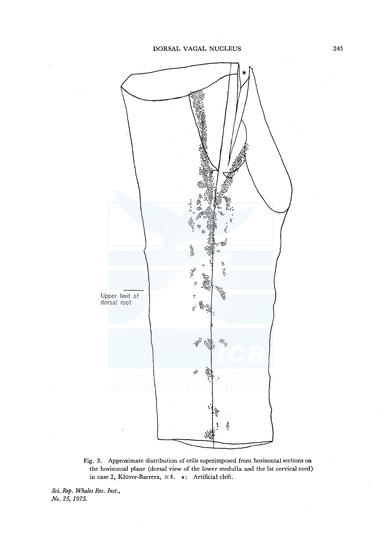

Fig. 3. Approximate distribution of cells superimposed from horizontal sections on the horizontal plane (dorsal view of the lower medulla and the lst cervical cord) in case 2, Klüver-Barrera,  $\times 4$ . \*: Artificial cleft.

*Sci, Rep. Whales Res. Inst., No. 25, 1973.*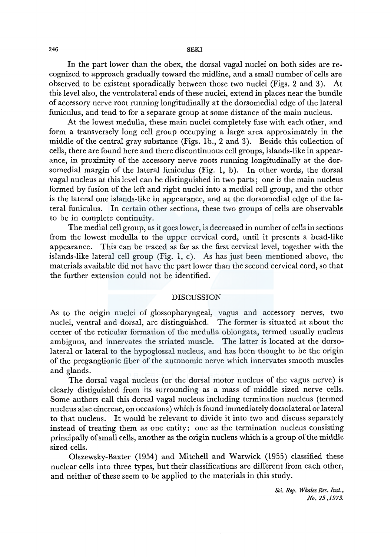In the part lower than the obex, the dorsal vagal nuclei on both sides are recognized to approach gradually toward the midline, and a small number of cells are observed to be existent sporadically between those two nuclei (Figs. 2 and 3). At this level also, the ventrolateral ends of these nuclei, extend in places near the bundle of accessory nerve root running longitudinally at the dorsomedial edge of the lateral funiculus, and tend to for a separate group at some distance of the main nucleus.

At the lowest medulla, these main nuclei completely fuse with each other, and form a transversely long cell group occupying a large area approximately in the middle of the central gray substance (Figs. lb., 2 and 3). Beside this collection of cells, there are found here and there discontinuous cell groups, islands-like in appearance, in proximity of the accessory nerve roots running longitudinally at the dorsomedial margin of the lateral funiculus (Fig. 1, b). In other words, the dorsal vagal nucleus at this level can be distinguished in two parts; one is the main nucleus formed by fusion of the left and right nuclei into a medial cell group, and the other is the lateral one islands-like in appearance, and at the dorsomedial edge of the lateral funiculus. In certain other sections, these two groups of cells are observable to be in complete continuity.

The medial cell group, as it goes lower, is decreased in number of cells in sections from the lowest medulla to the upper cervical cord, until it presents a bead-like appearance. This can be traced as far as the first cervical level, together with the islands-like lateral cell group (Fig. 1, c). As has just been mentioned above, the materials available did not have the part lower than the second cervical cord, so that the further extension could not be identified.

## DISCUSSION

As to the origin nuclei of glossopharyngeal, vagus and accessory nerves, two nuclei, ventral and dorsal, are distinguished. The former is situated at about the center of the reticular formation of the medulla oblongata, termed usually nucleus ambiguus, and innervates the striated muscle. The latter is located at the dorsolateral or lateral to the hypoglossal nucleus, and has been thought to be the origin of the preganglionic fiber of the autonomic nerve which innervates smooth muscles and glands.

The dorsal vagal nucleus (or the dorsal motor nucleus of the vagus nerve) is clearly distiguished from its surrounding as a mass of middle sized nerve cells. Some authors call this dorsal vagal nucleus including termination nucleus (termed nucleus alae cinereae, on occasions) which is found immediately dorsolateral or lateral to that nucleus. It would be relevant to divide it into two and discuss separately instead of treating them as one entity: one as the termination nucleus consisting principally of small cells, another as the origin nucleus which is a group of the middle sized cells.

Olszewsky-Baxter (1954) and Mitchell and Warwick (1955) classified these nuclear cells into three types, but their classifications are different from each other, and neither of these seem to be applied to the materials in this study.

> *Sci. Rep. Whales Res. Inst., No. 25 ,1973.*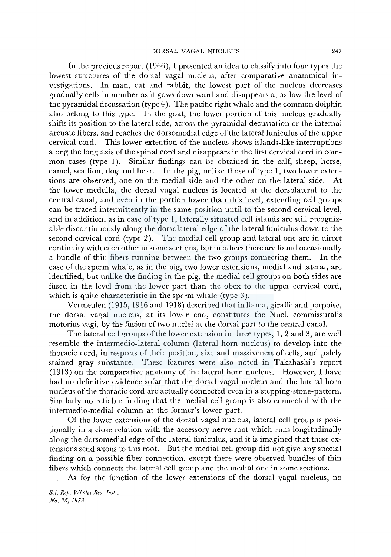In the previous report (1966), I presented an idea to classify into four types the lowest structures of the dorsal vagal nucleus, after comparative anatomical investigations. In man, cat and rabbit, the lowest part of the nucleus decreases gradually cells in number as it gows downward and disappears at as low the level of the pyramidal decussation (type 4 ). The pacific right whale and the common dolphin also belong to this type. In the goat, the lower portion of this nucleus gradually shifts its position to the lateral side, across the pyramidal decussation or the internal arcuate fibers, and reaches the dorsomedial edge of the lateral funiculus of the upper cervical cord. This lower extention of the nucleus shows islands-like interruptions along the long axis of the spinal cord and disappears in the first cervical cord in common cases (type 1). Similar findings can be obtained in the calf, sheep, horse, camel, sea lion, dog and bear. In the pig, unlike those of type 1, two lower extensions are observed, one on the medial side and the other on the lateral side. At the lower medulla, the dorsal vagal nucleus is located at the dorsolateral to the central canal, and even in the portion lower than this level, extending cell groups can be traced intermittently in the same position until to the second cervical level, and in addition, as in case of type 1, laterally situated cell islands are still recognizable discontinuously along the dorsolateral edge of the lateral funiculus down to the second cervical cord (type 2). The medial cell group and lateral one are in direct continuity with each other in some sections, but in others there are found occasionally a bundle of thin fibers running between the two groups connecting them. In the case of the sperm whale, as in the pig, two lower extensions, medial and lateral, are identified, but unlike the finding in the pig, the medial cell groups on both sides are fused in the level from the lower part than the obex to the upper cervical cord, which is quite characteristic in the sperm whale (type 3).

Vermeulen (1915, 1916 and 1918) described that in llama, giraffe and porpoise, the dorsal vagal nucleus, at its lower end, constitutes the Nucl. commissuralis motorius vagi, by the fusion of two nuclei at the dorsal part to the central canal.

The lateral cell groups of the lower extension in three types, 1, 2 and 3, are well resemble the intermedio-lateral column (lateral horn nucleus) to develop into the thoracic cord, in respects of their position, size and massiveness of cells, and palely stained gray substance. These features were also noted in Takahashi's report (1913) on the comparative anatomy of the lateral horn nucleus. However, I have had no definitive evidence sofar that the dorsal vagal nucleus and the lateral horn nucleus of the thoracic cord are actually connected even in a stepping-stone-pattern. Similarly no reliable finding that the medial cell group is also connected with the intermedio-medial column at the former's lower part.

Of the lower extensions of the dorsal vagal nucleus, lateral cell group is positionally in a close relation with the accessory nerve root which runs longitudinally along the dorsomedial edge of the lateral funiculus, and it is imagined that these extensions send axons to this root. But the medial cell group did not give any special finding on a possible fiber connection, except there were observed bundles of thin fibers which connects the lateral cell group and the medial one in some sections.

As for the function of the lower extensions of the dorsal vagal nucleus, no

*Sci. Rep. Whales Res. Inst., No. 25, 1973.*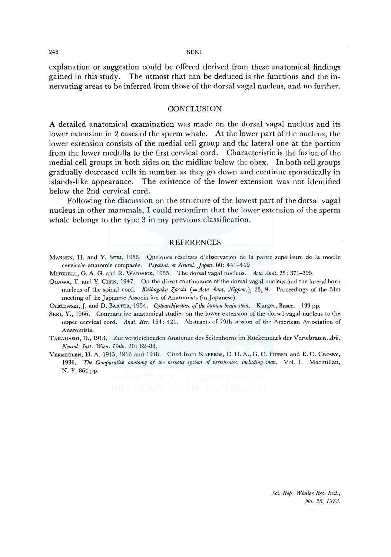#### 248 SEKI

explanation or suggestion could be offered derived from these anatomical findings gained in this study. The utmost that can be deduced is the functions and the innervating areas to be inferred from those of the dorsal vagal nucleus, and no further.

#### **CONCLUSION**

A detailed anatomical examination was made on the dorsal vagal nucleus and its lower extension in 2 cases of the sperm whale. At the lower part of the nucleus, the lower extension consists of the medial cell group and the lateral one at the portion from the lower medulla to the first cervical cord. Characteristic is the fusion of the medial cell groups in both sides on the midline below the obex. In both cell groups gradually decreased cells in number as they go down and continue sporadically in islands-like appearance. The existence of the lower extension was not identified below the 2nd cervical cord.

Following the discussion on the structure of the lowest part of the dorsal vagal nucleus in other mammals, I could reconfirm that the lower extension of the sperm whale belongs to the type 3 in my previous classification.

#### REFERENCES

- MANNEN, H. and Y. SEKI, 1958. Quelques resultats d'observation de la partie superieure de la moelle cervicale anatomie comparee. *Psychiat. et Neural. Japon.* 60: 441-449.
- MITCHELL, G. A. G. and R. WARWICK, 1955. The dorsal vagal nucleus. *Acta Anat.* 25: 371-395.
- OGAWA, T. and Y. CHEN, 1947. On the direct continuance of the dorsal vagal nucleus and the lateral horn nucleus of the spinal cord. *Kaibogaku Zasshi* (= Acta Anat. Nippon.), 23, 9. Proceedings of the 51st meeting of the Japanese Association of Anatomists (in Japanese).
- OLSZEWSKI, J. and D. BAXTER, 1954. *Cytoarchitecture of the human brain stem.* Karger, Baser. 199 pp.
- SEKI, Y., 1966. Comparative anatomical studies on the lower extension of the dorsal vagal nucleus to the upper cervical cord. *Anat. Ree.* 154: 421. Abstracts of 79th session of the American Association of Anatomists.
- TAKAHASHI, D., 1913. Zur vergleichenden Anatomie des Seitenhorns im Ruckenmark der Vertebraten. *Arb. Neural. Inst. Wien. Univ.* 20: 62-83.
- VERMEULEN, H. A. 1915, 1916 and 1918. Cited from KAPPERs, C. U. A., G. C. HUBER and E. C. CROSBY, 1936. *The Comparative anatomy of the nervous system of vertebrates, including man.* Vol. 1. Macmillan, N. Y. 864 pp.

*Sci. Rep. Whales Res. Inst., No. 25, 1973,*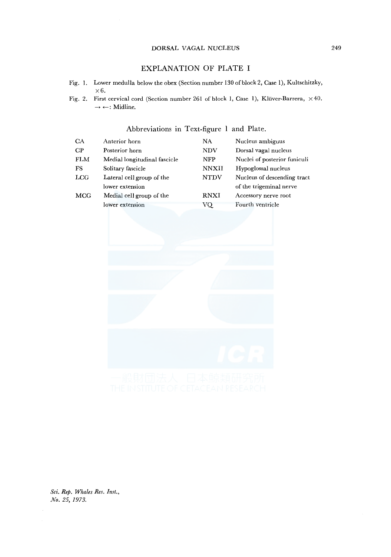#### DORSAL VAGAL NUCLEUS

## EXPLANATION OF PLATE I

- Fig. 1. Lower medulla below the obex (Section number 130 of block 2, Case 1), Kultschitzky, x6.
- Fig. 2. First cervical cord (Section number 261 of block 1, Case 1), Klüver-Barrera,  $\times$  40.  $\rightarrow$ <br/> $\leftarrow:$  Midline.

### Abbreviations in Text-figure 1 and Plate.

| <b>CA</b>  | Anterior horn                | NA.          | Nucleus ambiguus             |
|------------|------------------------------|--------------|------------------------------|
| CР         | Posterior horn               | <b>NDV</b>   | Dorsal vagal nucleus         |
| <b>FLM</b> | Medial longitudinal fascicle | <b>NFP</b>   | Nuclei of posterior funiculi |
| FS         | Solitary fascicle            | <b>NNXII</b> | Hypoglossal nucleus          |
| LCG        | Lateral cell group of the    | <b>NTDV</b>  | Nucleus of descending tract  |
|            | lower extension              |              | of the trigeminal nerve      |
| <b>MCG</b> | Medial cell group of the     | <b>RNXI</b>  | Accessory nerve root         |
|            | lower extension              | VQ.          | Fourth ventricle             |



*Sci. Rep. Whales Res. Inst., No. 25, 1973.*